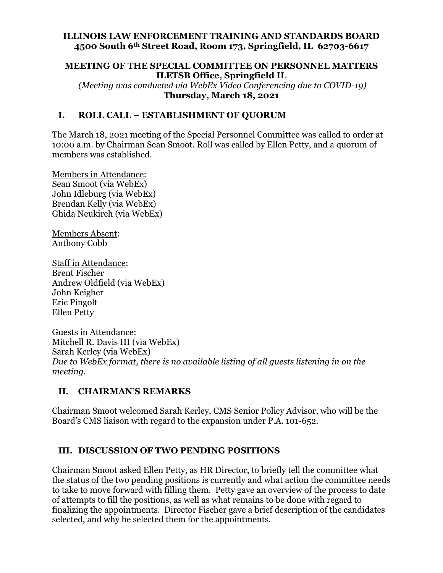#### **ILLINOIS LAW ENFORCEMENT TRAINING AND STANDARDS BOARD 4500 South 6th Street Road, Room 173, Springfield, IL 62703-6617**

#### **MEETING OF THE SPECIAL COMMITTEE ON PERSONNEL MATTERS ILETSB Office, Springfield IL**

 *(Meeting was conducted via WebEx Video Conferencing due to COVID-19)*  **Thursday, March 18, 2021** 

### **I. ROLL CALL – ESTABLISHMENT OF QUORUM**

The March 18, 2021 meeting of the Special Personnel Committee was called to order at 10:00 a.m. by Chairman Sean Smoot. Roll was called by Ellen Petty, and a quorum of members was established.

Members in Attendance: Sean Smoot (via WebEx) John Idleburg (via WebEx) Brendan Kelly (via WebEx) Ghida Neukirch (via WebEx)

Members Absent: Anthony Cobb

Staff in Attendance: Brent Fischer Andrew Oldfield (via WebEx) John Keigher Eric Pingolt Ellen Petty

Guests in Attendance: Mitchell R. Davis III (via WebEx) Sarah Kerley (via WebEx) *Due to WebEx format, there is no available listing of all guests listening in on the meeting.* 

### **II. CHAIRMAN'S REMARKS**

Chairman Smoot welcomed Sarah Kerley, CMS Senior Policy Advisor, who will be the Board's CMS liaison with regard to the expansion under P.A. 101-652.

### **III. DISCUSSION OF TWO PENDING POSITIONS**

Chairman Smoot asked Ellen Petty, as HR Director, to briefly tell the committee what the status of the two pending positions is currently and what action the committee needs to take to move forward with filling them. Petty gave an overview of the process to date of attempts to fill the positions, as well as what remains to be done with regard to finalizing the appointments. Director Fischer gave a brief description of the candidates selected, and why he selected them for the appointments.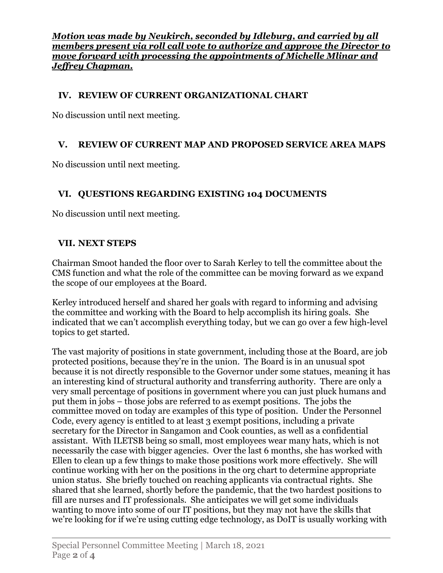*Motion was made by Neukirch, seconded by Idleburg, and carried by all members present via roll call vote to authorize and approve the Director to move forward with processing the appointments of Michelle Mlinar and Jeffrey Chapman.* 

# **IV. REVIEW OF CURRENT ORGANIZATIONAL CHART**

No discussion until next meeting.

# **V. REVIEW OF CURRENT MAP AND PROPOSED SERVICE AREA MAPS**

No discussion until next meeting.

# **VI. QUESTIONS REGARDING EXISTING 104 DOCUMENTS**

No discussion until next meeting.

# **VII. NEXT STEPS**

Chairman Smoot handed the floor over to Sarah Kerley to tell the committee about the CMS function and what the role of the committee can be moving forward as we expand the scope of our employees at the Board.

Kerley introduced herself and shared her goals with regard to informing and advising the committee and working with the Board to help accomplish its hiring goals. She indicated that we can't accomplish everything today, but we can go over a few high-level topics to get started.

The vast majority of positions in state government, including those at the Board, are job protected positions, because they're in the union. The Board is in an unusual spot because it is not directly responsible to the Governor under some statues, meaning it has an interesting kind of structural authority and transferring authority. There are only a very small percentage of positions in government where you can just pluck humans and put them in jobs – those jobs are referred to as exempt positions. The jobs the committee moved on today are examples of this type of position. Under the Personnel Code, every agency is entitled to at least 3 exempt positions, including a private secretary for the Director in Sangamon and Cook counties, as well as a confidential assistant. With ILETSB being so small, most employees wear many hats, which is not necessarily the case with bigger agencies. Over the last 6 months, she has worked with Ellen to clean up a few things to make those positions work more effectively. She will continue working with her on the positions in the org chart to determine appropriate union status. She briefly touched on reaching applicants via contractual rights. She shared that she learned, shortly before the pandemic, that the two hardest positions to fill are nurses and IT professionals. She anticipates we will get some individuals wanting to move into some of our IT positions, but they may not have the skills that we're looking for if we're using cutting edge technology, as DoIT is usually working with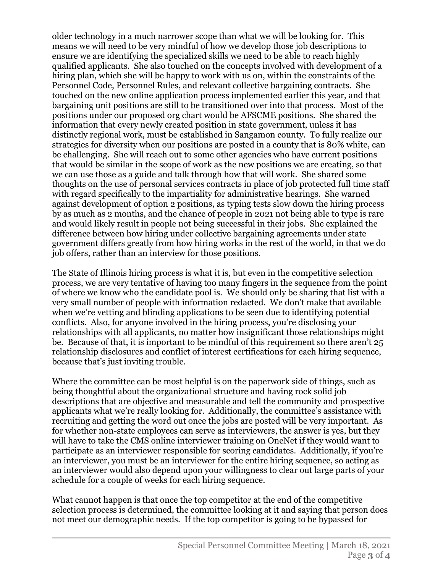older technology in a much narrower scope than what we will be looking for. This means we will need to be very mindful of how we develop those job descriptions to ensure we are identifying the specialized skills we need to be able to reach highly qualified applicants. She also touched on the concepts involved with development of a hiring plan, which she will be happy to work with us on, within the constraints of the Personnel Code, Personnel Rules, and relevant collective bargaining contracts. She touched on the new online application process implemented earlier this year, and that bargaining unit positions are still to be transitioned over into that process. Most of the positions under our proposed org chart would be AFSCME positions. She shared the information that every newly created position in state government, unless it has distinctly regional work, must be established in Sangamon county. To fully realize our strategies for diversity when our positions are posted in a county that is 80% white, can be challenging. She will reach out to some other agencies who have current positions that would be similar in the scope of work as the new positions we are creating, so that we can use those as a guide and talk through how that will work. She shared some thoughts on the use of personal services contracts in place of job protected full time staff with regard specifically to the impartiality for administrative hearings. She warned against development of option 2 positions, as typing tests slow down the hiring process by as much as 2 months, and the chance of people in 2021 not being able to type is rare and would likely result in people not being successful in their jobs. She explained the difference between how hiring under collective bargaining agreements under state government differs greatly from how hiring works in the rest of the world, in that we do job offers, rather than an interview for those positions.

The State of Illinois hiring process is what it is, but even in the competitive selection process, we are very tentative of having too many fingers in the sequence from the point of where we know who the candidate pool is. We should only be sharing that list with a very small number of people with information redacted. We don't make that available when we're vetting and blinding applications to be seen due to identifying potential conflicts. Also, for anyone involved in the hiring process, you're disclosing your relationships with all applicants, no matter how insignificant those relationships might be. Because of that, it is important to be mindful of this requirement so there aren't 25 relationship disclosures and conflict of interest certifications for each hiring sequence, because that's just inviting trouble.

Where the committee can be most helpful is on the paperwork side of things, such as being thoughtful about the organizational structure and having rock solid job descriptions that are objective and measurable and tell the community and prospective applicants what we're really looking for. Additionally, the committee's assistance with recruiting and getting the word out once the jobs are posted will be very important. As for whether non-state employees can serve as interviewers, the answer is yes, but they will have to take the CMS online interviewer training on OneNet if they would want to participate as an interviewer responsible for scoring candidates. Additionally, if you're an interviewer, you must be an interviewer for the entire hiring sequence, so acting as an interviewer would also depend upon your willingness to clear out large parts of your schedule for a couple of weeks for each hiring sequence.

What cannot happen is that once the top competitor at the end of the competitive selection process is determined, the committee looking at it and saying that person does not meet our demographic needs. If the top competitor is going to be bypassed for